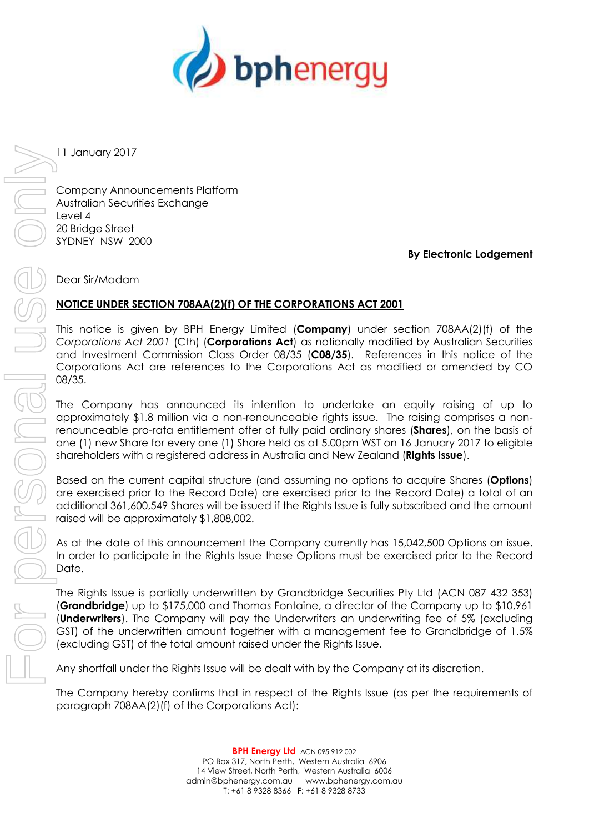

11 January 2017

Company Announcements Platform Australian Securities Exchange Level 4 20 Bridge Street SYDNEY NSW 2000

**By Electronic Lodgement**

Dear Sir/Madam

## **NOTICE UNDER SECTION 708AA(2)(f) OF THE CORPORATIONS ACT 2001**

This notice is given by BPH Energy Limited (**Company**) under section 708AA(2)(f) of the *Corporations Act 2001* (Cth) (**Corporations Act**) as notionally modified by Australian Securities and Investment Commission Class Order 08/35 (**C08/35**). References in this notice of the Corporations Act are references to the Corporations Act as modified or amended by CO 08/35.

The Company has announced its intention to undertake an equity raising of up to approximately \$1.8 million via a non-renounceable rights issue. The raising comprises a nonrenounceable pro-rata entitlement offer of fully paid ordinary shares (**Shares**), on the basis of one (1) new Share for every one (1) Share held as at 5.00pm WST on 16 January 2017 to eligible shareholders with a registered address in Australia and New Zealand (**Rights Issue**).

Based on the current capital structure (and assuming no options to acquire Shares (**Options**) are exercised prior to the Record Date) are exercised prior to the Record Date) a total of an additional 361,600,549 Shares will be issued if the Rights Issue is fully subscribed and the amount raised will be approximately \$1,808,002.

As at the date of this announcement the Company currently has 15,042,500 Options on issue. In order to participate in the Rights Issue these Options must be exercised prior to the Record Date.

The Rights Issue is partially underwritten by Grandbridge Securities Pty Ltd (ACN 087 432 353) (**Grandbridge**) up to \$175,000 and Thomas Fontaine, a director of the Company up to \$10,961 (**Underwriters**). The Company will pay the Underwriters an underwriting fee of 5% (excluding GST) of the underwritten amount together with a management fee to Grandbridge of 1.5% (excluding GST) of the total amount raised under the Rights Issue.

Any shortfall under the Rights Issue will be dealt with by the Company at its discretion.

The Company hereby confirms that in respect of the Rights Issue (as per the requirements of